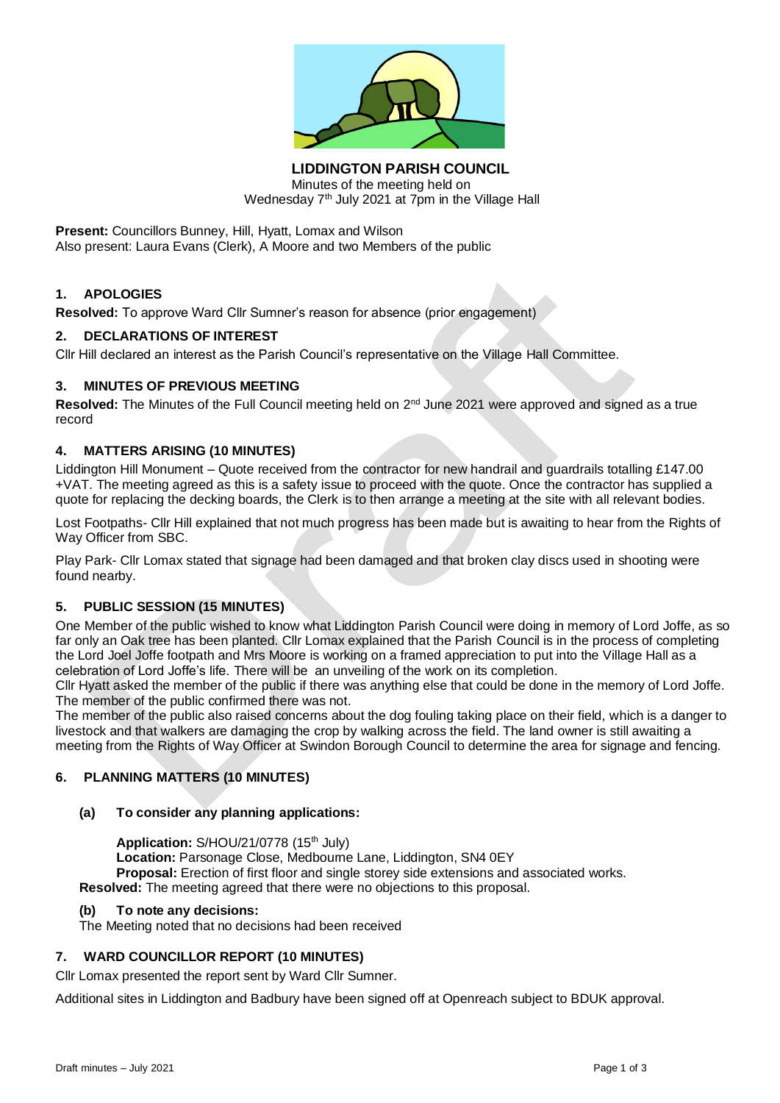

**LIDDINGTON PARISH COUNCIL** Minutes of the meeting held on Wednesday  $7<sup>th</sup>$  July 2021 at  $7<sup>pm</sup>$  in the Village Hall

**Present:** Councillors Bunney, Hill, Hyatt, Lomax and Wilson Also present: Laura Evans (Clerk), A Moore and two Members of the public

# **1. APOLOGIES**

**Resolved:** To approve Ward Cllr Sumner's reason for absence (prior engagement)

#### **2. DECLARATIONS OF INTEREST**

Cllr Hill declared an interest as the Parish Council's representative on the Village Hall Committee.

#### **3. MINUTES OF PREVIOUS MEETING**

Resolved: The Minutes of the Full Council meeting held on 2<sup>nd</sup> June 2021 were approved and signed as a true record

#### **4. MATTERS ARISING (10 MINUTES)**

Liddington Hill Monument – Quote received from the contractor for new handrail and guardrails totalling £147.00 +VAT. The meeting agreed as this is a safety issue to proceed with the quote. Once the contractor has supplied a quote for replacing the decking boards, the Clerk is to then arrange a meeting at the site with all relevant bodies.

Lost Footpaths- Cllr Hill explained that not much progress has been made but is awaiting to hear from the Rights of Way Officer from SBC.

Play Park- Cllr Lomax stated that signage had been damaged and that broken clay discs used in shooting were found nearby.

#### **5. PUBLIC SESSION (15 MINUTES)**

One Member of the public wished to know what Liddington Parish Council were doing in memory of Lord Joffe, as so far only an Oak tree has been planted. Cllr Lomax explained that the Parish Council is in the process of completing the Lord Joel Joffe footpath and Mrs Moore is working on a framed appreciation to put into the Village Hall as a celebration of Lord Joffe's life. There will be an unveiling of the work on its completion.

Cllr Hyatt asked the member of the public if there was anything else that could be done in the memory of Lord Joffe. The member of the public confirmed there was not.

The member of the public also raised concerns about the dog fouling taking place on their field, which is a danger to livestock and that walkers are damaging the crop by walking across the field. The land owner is still awaiting a meeting from the Rights of Way Officer at Swindon Borough Council to determine the area for signage and fencing.

### **6. PLANNING MATTERS (10 MINUTES)**

### **(a) To consider any planning applications:**

Application: S/HOU/21/0778 (15<sup>th</sup> July) **Location:** Parsonage Close, Medbourne Lane, Liddington, SN4 0EY **Proposal:** Erection of first floor and single storey side extensions and associated works.

**Resolved:** The meeting agreed that there were no objections to this proposal.

#### **(b) To note any decisions:**

The Meeting noted that no decisions had been received

### **7. WARD COUNCILLOR REPORT (10 MINUTES)**

Cllr Lomax presented the report sent by Ward Cllr Sumner.

Additional sites in Liddington and Badbury have been signed off at Openreach subject to BDUK approval.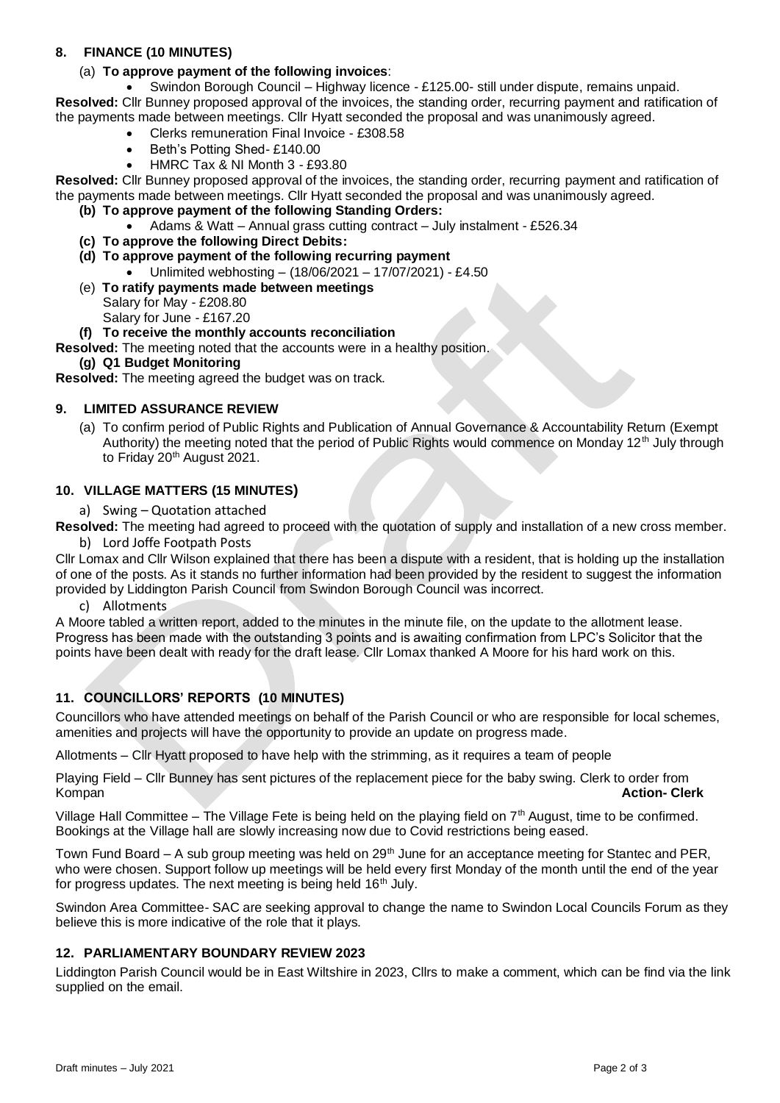## **8. FINANCE (10 MINUTES)**

## (a) **To approve payment of the following invoices**:

• Swindon Borough Council – Highway licence - £125.00- still under dispute, remains unpaid. **Resolved:** Cllr Bunney proposed approval of the invoices, the standing order, recurring payment and ratification of

- the payments made between meetings. Cllr Hyatt seconded the proposal and was unanimously agreed.
	- Clerks remuneration Final Invoice £308.58
	- Beth's Potting Shed-£140.00
	- HMRC Tax & NI Month 3 £93.80

**Resolved:** Cllr Bunney proposed approval of the invoices, the standing order, recurring payment and ratification of the payments made between meetings. Cllr Hyatt seconded the proposal and was unanimously agreed.

- **(b) To approve payment of the following Standing Orders:**
	- Adams & Watt Annual grass cutting contract July instalment £526.34
- **(c) To approve the following Direct Debits:**
- **(d) To approve payment of the following recurring payment**
	- Unlimited webhosting (18/06/2021 17/07/2021) £4.50
- (e) **To ratify payments made between meetings** Salary for May - £208.80 Salary for June - £167.20

# **(f) To receive the monthly accounts reconciliation**

**Resolved:** The meeting noted that the accounts were in a healthy position.

**(g) Q1 Budget Monitoring** 

**Resolved:** The meeting agreed the budget was on track.

## **9. LIMITED ASSURANCE REVIEW**

(a) To confirm period of Public Rights and Publication of Annual Governance & Accountability Return (Exempt Authority) the meeting noted that the period of Public Rights would commence on Monday 12<sup>th</sup> July through to Friday 20<sup>th</sup> August 2021.

### **10. VILLAGE MATTERS (15 MINUTES)**

a) Swing – Quotation attached

**Resolved:** The meeting had agreed to proceed with the quotation of supply and installation of a new cross member. b) Lord Joffe Footpath Posts

Cllr Lomax and Cllr Wilson explained that there has been a dispute with a resident, that is holding up the installation of one of the posts. As it stands no further information had been provided by the resident to suggest the information provided by Liddington Parish Council from Swindon Borough Council was incorrect.

c) Allotments

A Moore tabled a written report, added to the minutes in the minute file, on the update to the allotment lease. Progress has been made with the outstanding 3 points and is awaiting confirmation from LPC's Solicitor that the points have been dealt with ready for the draft lease. Cllr Lomax thanked A Moore for his hard work on this.

# **11. COUNCILLORS' REPORTS (10 MINUTES)**

Councillors who have attended meetings on behalf of the Parish Council or who are responsible for local schemes, amenities and projects will have the opportunity to provide an update on progress made.

Allotments – Cllr Hyatt proposed to have help with the strimming, as it requires a team of people

Playing Field – Cllr Bunney has sent pictures of the replacement piece for the baby swing. Clerk to order from Kompan **Action- Clerk**

Village Hall Committee – The Village Fete is being held on the playing field on  $7<sup>th</sup>$  August, time to be confirmed. Bookings at the Village hall are slowly increasing now due to Covid restrictions being eased.

Town Fund Board – A sub group meeting was held on 29<sup>th</sup> June for an acceptance meeting for Stantec and PER, who were chosen. Support follow up meetings will be held every first Monday of the month until the end of the year for progress updates. The next meeting is being held  $16<sup>th</sup>$  July.

Swindon Area Committee- SAC are seeking approval to change the name to Swindon Local Councils Forum as they believe this is more indicative of the role that it plays.

# **12. PARLIAMENTARY BOUNDARY REVIEW 2023**

Liddington Parish Council would be in East Wiltshire in 2023, Cllrs to make a comment, which can be find via the link supplied on the email.